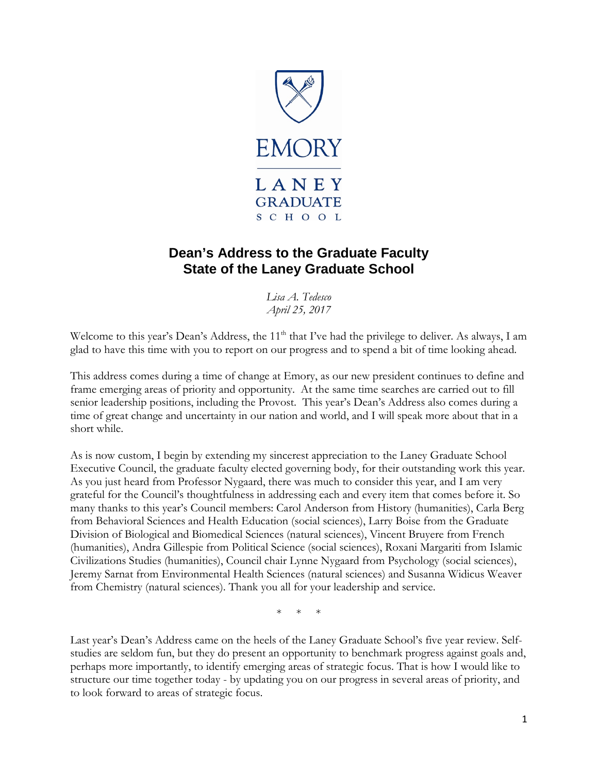

# **Dean's Address to the Graduate Faculty State of the Laney Graduate School**

*Lisa A. Tedesco April 25, 2017*

Welcome to this year's Dean's Address, the 11<sup>th</sup> that I've had the privilege to deliver. As always, I am glad to have this time with you to report on our progress and to spend a bit of time looking ahead.

This address comes during a time of change at Emory, as our new president continues to define and frame emerging areas of priority and opportunity. At the same time searches are carried out to fill senior leadership positions, including the Provost. This year's Dean's Address also comes during a time of great change and uncertainty in our nation and world, and I will speak more about that in a short while.

As is now custom, I begin by extending my sincerest appreciation to the Laney Graduate School Executive Council, the graduate faculty elected governing body, for their outstanding work this year. As you just heard from Professor Nygaard, there was much to consider this year, and I am very grateful for the Council's thoughtfulness in addressing each and every item that comes before it. So many thanks to this year's Council members: Carol Anderson from History (humanities), Carla Berg from Behavioral Sciences and Health Education (social sciences), Larry Boise from the Graduate Division of Biological and Biomedical Sciences (natural sciences), Vincent Bruyere from French (humanities), Andra Gillespie from Political Science (social sciences), Roxani Margariti from Islamic Civilizations Studies (humanities), Council chair Lynne Nygaard from Psychology (social sciences), Jeremy Sarnat from Environmental Health Sciences (natural sciences) and Susanna Widicus Weaver from Chemistry (natural sciences). Thank you all for your leadership and service.

 $\ast$ 

Last year's Dean's Address came on the heels of the Laney Graduate School's five year review. Selfstudies are seldom fun, but they do present an opportunity to benchmark progress against goals and, perhaps more importantly, to identify emerging areas of strategic focus. That is how I would like to structure our time together today - by updating you on our progress in several areas of priority, and to look forward to areas of strategic focus.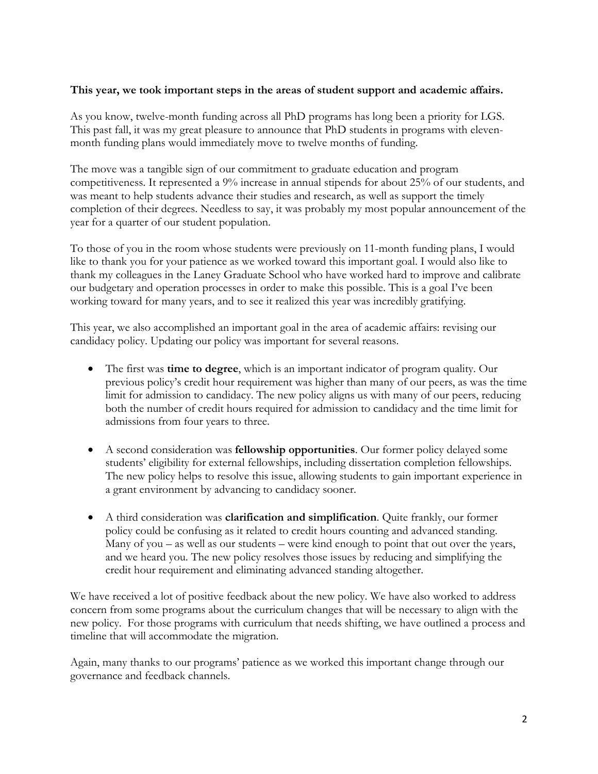## **This year, we took important steps in the areas of student support and academic affairs.**

As you know, twelve-month funding across all PhD programs has long been a priority for LGS. This past fall, it was my great pleasure to announce that PhD students in programs with elevenmonth funding plans would immediately move to twelve months of funding.

The move was a tangible sign of our commitment to graduate education and program competitiveness. It represented a 9% increase in annual stipends for about 25% of our students, and was meant to help students advance their studies and research, as well as support the timely completion of their degrees. Needless to say, it was probably my most popular announcement of the year for a quarter of our student population.

To those of you in the room whose students were previously on 11-month funding plans, I would like to thank you for your patience as we worked toward this important goal. I would also like to thank my colleagues in the Laney Graduate School who have worked hard to improve and calibrate our budgetary and operation processes in order to make this possible. This is a goal I've been working toward for many years, and to see it realized this year was incredibly gratifying.

This year, we also accomplished an important goal in the area of academic affairs: revising our candidacy policy. Updating our policy was important for several reasons.

- The first was **time to degree**, which is an important indicator of program quality. Our previous policy's credit hour requirement was higher than many of our peers, as was the time limit for admission to candidacy. The new policy aligns us with many of our peers, reducing both the number of credit hours required for admission to candidacy and the time limit for admissions from four years to three.
- A second consideration was **fellowship opportunities**. Our former policy delayed some students' eligibility for external fellowships, including dissertation completion fellowships. The new policy helps to resolve this issue, allowing students to gain important experience in a grant environment by advancing to candidacy sooner.
- A third consideration was **clarification and simplification**. Quite frankly, our former policy could be confusing as it related to credit hours counting and advanced standing. Many of you  $-$  as well as our students  $-$  were kind enough to point that out over the years, and we heard you. The new policy resolves those issues by reducing and simplifying the credit hour requirement and eliminating advanced standing altogether.

We have received a lot of positive feedback about the new policy. We have also worked to address concern from some programs about the curriculum changes that will be necessary to align with the new policy. For those programs with curriculum that needs shifting, we have outlined a process and timeline that will accommodate the migration.

Again, many thanks to our programs' patience as we worked this important change through our governance and feedback channels.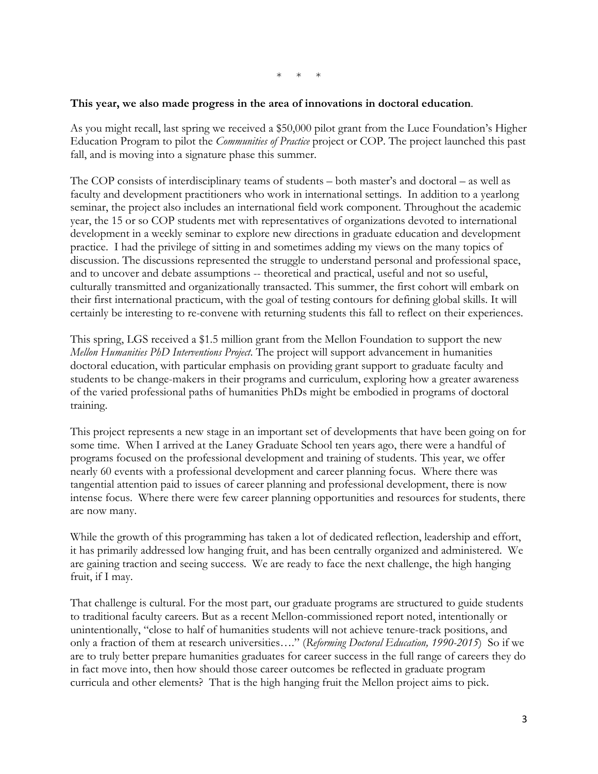#### \* \* \*

#### **This year, we also made progress in the area of innovations in doctoral education**.

As you might recall, last spring we received a \$50,000 pilot grant from the Luce Foundation's Higher Education Program to pilot the *Communities of Practice* project or COP. The project launched this past fall, and is moving into a signature phase this summer.

The COP consists of interdisciplinary teams of students – both master's and doctoral – as well as faculty and development practitioners who work in international settings. In addition to a yearlong seminar, the project also includes an international field work component. Throughout the academic year, the 15 or so COP students met with representatives of organizations devoted to international development in a weekly seminar to explore new directions in graduate education and development practice. I had the privilege of sitting in and sometimes adding my views on the many topics of discussion. The discussions represented the struggle to understand personal and professional space, and to uncover and debate assumptions -- theoretical and practical, useful and not so useful, culturally transmitted and organizationally transacted. This summer, the first cohort will embark on their first international practicum, with the goal of testing contours for defining global skills. It will certainly be interesting to re-convene with returning students this fall to reflect on their experiences.

This spring, LGS received a \$1.5 million grant from the Mellon Foundation to support the new *Mellon Humanities PhD Interventions Project*. The project will support advancement in humanities doctoral education, with particular emphasis on providing grant support to graduate faculty and students to be change-makers in their programs and curriculum, exploring how a greater awareness of the varied professional paths of humanities PhDs might be embodied in programs of doctoral training.

This project represents a new stage in an important set of developments that have been going on for some time. When I arrived at the Laney Graduate School ten years ago, there were a handful of programs focused on the professional development and training of students. This year, we offer nearly 60 events with a professional development and career planning focus. Where there was tangential attention paid to issues of career planning and professional development, there is now intense focus. Where there were few career planning opportunities and resources for students, there are now many.

While the growth of this programming has taken a lot of dedicated reflection, leadership and effort, it has primarily addressed low hanging fruit, and has been centrally organized and administered. We are gaining traction and seeing success. We are ready to face the next challenge, the high hanging fruit, if I may.

That challenge is cultural. For the most part, our graduate programs are structured to guide students to traditional faculty careers. But as a recent Mellon-commissioned report noted, intentionally or unintentionally, "close to half of humanities students will not achieve tenure-track positions, and only a fraction of them at research universities…." (*Reforming Doctoral Education, 1990-2015*) So if we are to truly better prepare humanities graduates for career success in the full range of careers they do in fact move into, then how should those career outcomes be reflected in graduate program curricula and other elements? That is the high hanging fruit the Mellon project aims to pick.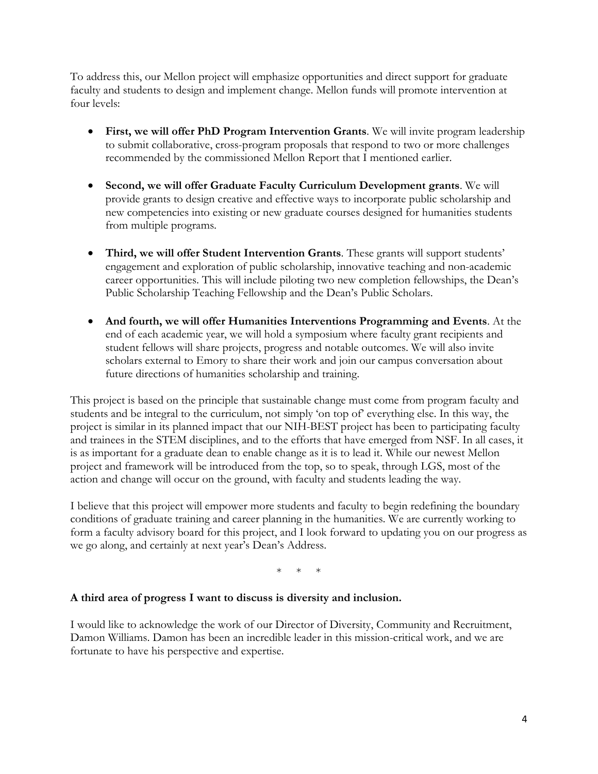To address this, our Mellon project will emphasize opportunities and direct support for graduate faculty and students to design and implement change. Mellon funds will promote intervention at four levels:

- **First, we will offer PhD Program Intervention Grants**. We will invite program leadership to submit collaborative, cross-program proposals that respond to two or more challenges recommended by the commissioned Mellon Report that I mentioned earlier.
- **Second, we will offer Graduate Faculty Curriculum Development grants**. We will provide grants to design creative and effective ways to incorporate public scholarship and new competencies into existing or new graduate courses designed for humanities students from multiple programs.
- **Third, we will offer Student Intervention Grants**. These grants will support students' engagement and exploration of public scholarship, innovative teaching and non-academic career opportunities. This will include piloting two new completion fellowships, the Dean's Public Scholarship Teaching Fellowship and the Dean's Public Scholars.
- **And fourth, we will offer Humanities Interventions Programming and Events**. At the end of each academic year, we will hold a symposium where faculty grant recipients and student fellows will share projects, progress and notable outcomes. We will also invite scholars external to Emory to share their work and join our campus conversation about future directions of humanities scholarship and training.

This project is based on the principle that sustainable change must come from program faculty and students and be integral to the curriculum, not simply 'on top of' everything else. In this way, the project is similar in its planned impact that our NIH-BEST project has been to participating faculty and trainees in the STEM disciplines, and to the efforts that have emerged from NSF. In all cases, it is as important for a graduate dean to enable change as it is to lead it. While our newest Mellon project and framework will be introduced from the top, so to speak, through LGS, most of the action and change will occur on the ground, with faculty and students leading the way.

I believe that this project will empower more students and faculty to begin redefining the boundary conditions of graduate training and career planning in the humanities. We are currently working to form a faculty advisory board for this project, and I look forward to updating you on our progress as we go along, and certainly at next year's Dean's Address.

\* \* \*

## **A third area of progress I want to discuss is diversity and inclusion.**

I would like to acknowledge the work of our Director of Diversity, Community and Recruitment, Damon Williams. Damon has been an incredible leader in this mission-critical work, and we are fortunate to have his perspective and expertise.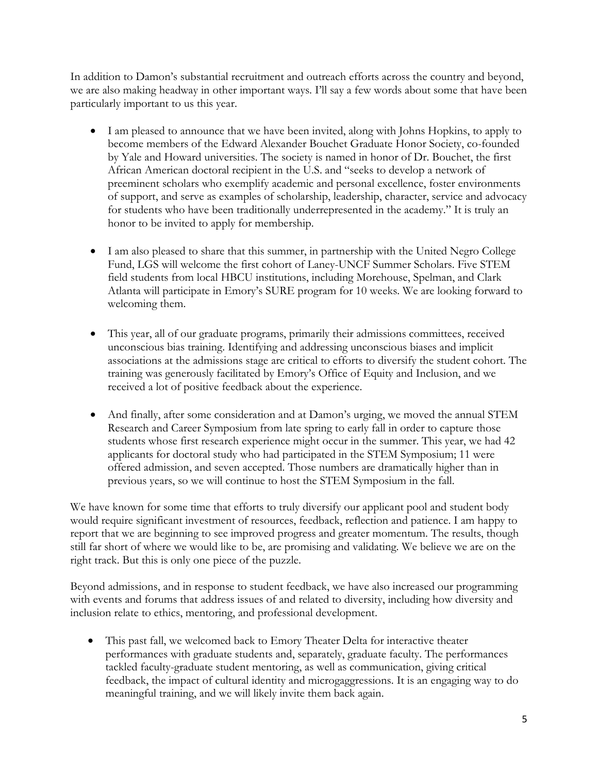In addition to Damon's substantial recruitment and outreach efforts across the country and beyond, we are also making headway in other important ways. I'll say a few words about some that have been particularly important to us this year.

- I am pleased to announce that we have been invited, along with Johns Hopkins, to apply to become members of the Edward Alexander Bouchet Graduate Honor Society, co-founded by Yale and Howard universities. The society is named in honor of Dr. Bouchet, the first African American doctoral recipient in the U.S. and "seeks to develop a network of preeminent scholars who exemplify academic and personal excellence, foster environments of support, and serve as examples of scholarship, leadership, character, service and advocacy for students who have been traditionally underrepresented in the academy." It is truly an honor to be invited to apply for membership.
- I am also pleased to share that this summer, in partnership with the United Negro College Fund, LGS will welcome the first cohort of Laney-UNCF Summer Scholars. Five STEM field students from local HBCU institutions, including Morehouse, Spelman, and Clark Atlanta will participate in Emory's SURE program for 10 weeks. We are looking forward to welcoming them.
- This year, all of our graduate programs, primarily their admissions committees, received unconscious bias training. Identifying and addressing unconscious biases and implicit associations at the admissions stage are critical to efforts to diversify the student cohort. The training was generously facilitated by Emory's Office of Equity and Inclusion, and we received a lot of positive feedback about the experience.
- And finally, after some consideration and at Damon's urging, we moved the annual STEM Research and Career Symposium from late spring to early fall in order to capture those students whose first research experience might occur in the summer. This year, we had 42 applicants for doctoral study who had participated in the STEM Symposium; 11 were offered admission, and seven accepted. Those numbers are dramatically higher than in previous years, so we will continue to host the STEM Symposium in the fall.

We have known for some time that efforts to truly diversify our applicant pool and student body would require significant investment of resources, feedback, reflection and patience. I am happy to report that we are beginning to see improved progress and greater momentum. The results, though still far short of where we would like to be, are promising and validating. We believe we are on the right track. But this is only one piece of the puzzle.

Beyond admissions, and in response to student feedback, we have also increased our programming with events and forums that address issues of and related to diversity, including how diversity and inclusion relate to ethics, mentoring, and professional development.

• This past fall, we welcomed back to Emory Theater Delta for interactive theater performances with graduate students and, separately, graduate faculty. The performances tackled faculty-graduate student mentoring, as well as communication, giving critical feedback, the impact of cultural identity and microgaggressions. It is an engaging way to do meaningful training, and we will likely invite them back again.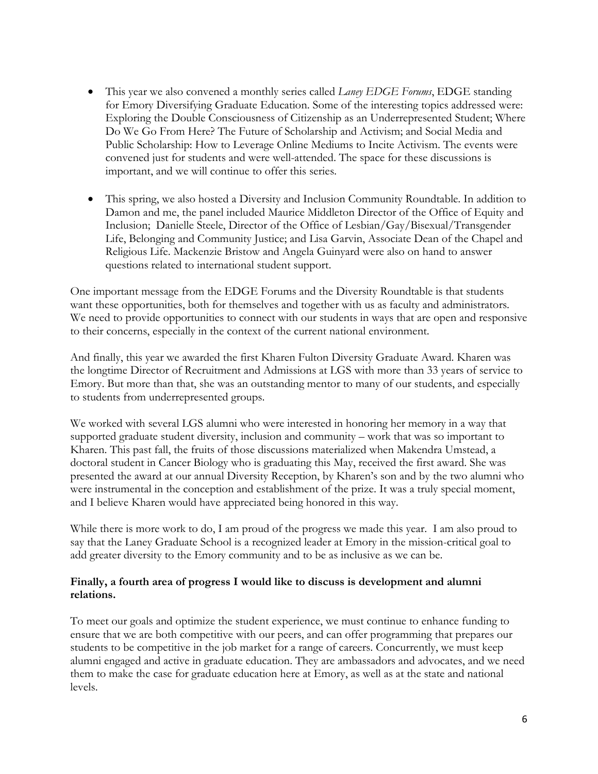- This year we also convened a monthly series called *Laney EDGE Forums*, EDGE standing for Emory Diversifying Graduate Education. Some of the interesting topics addressed were: Exploring the Double Consciousness of Citizenship as an Underrepresented Student; Where Do We Go From Here? The Future of Scholarship and Activism; and Social Media and Public Scholarship: How to Leverage Online Mediums to Incite Activism. The events were convened just for students and were well-attended. The space for these discussions is important, and we will continue to offer this series.
- This spring, we also hosted a Diversity and Inclusion Community Roundtable. In addition to Damon and me, the panel included Maurice Middleton Director of the Office of Equity and Inclusion; Danielle Steele, Director of the Office of Lesbian/Gay/Bisexual/Transgender Life, Belonging and Community Justice; and Lisa Garvin, Associate Dean of the Chapel and Religious Life. Mackenzie Bristow and Angela Guinyard were also on hand to answer questions related to international student support.

One important message from the EDGE Forums and the Diversity Roundtable is that students want these opportunities, both for themselves and together with us as faculty and administrators. We need to provide opportunities to connect with our students in ways that are open and responsive to their concerns, especially in the context of the current national environment.

And finally, this year we awarded the first Kharen Fulton Diversity Graduate Award. Kharen was the longtime Director of Recruitment and Admissions at LGS with more than 33 years of service to Emory. But more than that, she was an outstanding mentor to many of our students, and especially to students from underrepresented groups.

We worked with several LGS alumni who were interested in honoring her memory in a way that supported graduate student diversity, inclusion and community – work that was so important to Kharen. This past fall, the fruits of those discussions materialized when Makendra Umstead, a doctoral student in Cancer Biology who is graduating this May, received the first award. She was presented the award at our annual Diversity Reception, by Kharen's son and by the two alumni who were instrumental in the conception and establishment of the prize. It was a truly special moment, and I believe Kharen would have appreciated being honored in this way.

While there is more work to do, I am proud of the progress we made this year. I am also proud to say that the Laney Graduate School is a recognized leader at Emory in the mission-critical goal to add greater diversity to the Emory community and to be as inclusive as we can be.

## **Finally, a fourth area of progress I would like to discuss is development and alumni relations.**

To meet our goals and optimize the student experience, we must continue to enhance funding to ensure that we are both competitive with our peers, and can offer programming that prepares our students to be competitive in the job market for a range of careers. Concurrently, we must keep alumni engaged and active in graduate education. They are ambassadors and advocates, and we need them to make the case for graduate education here at Emory, as well as at the state and national levels.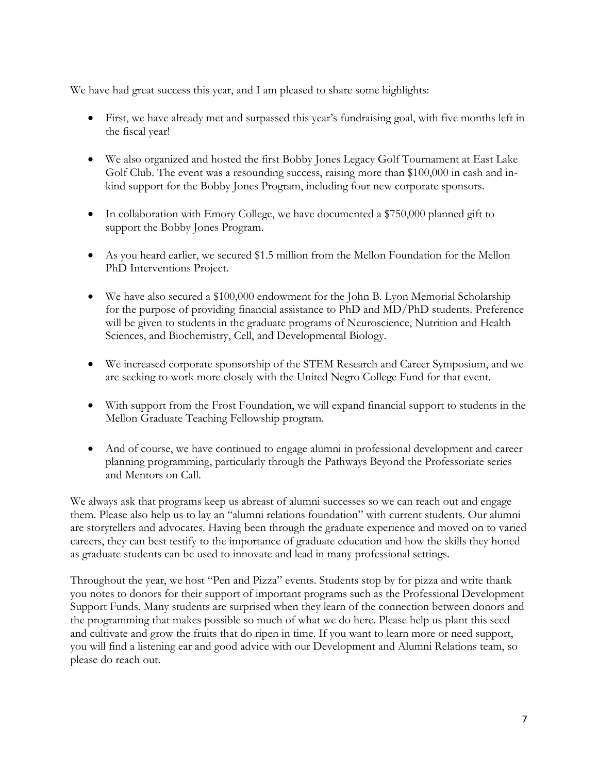We have had great success this year, and I am pleased to share some highlights:

- First, we have already met and surpassed this year's fundraising goal, with five months left in the fiscal year!
- We also organized and hosted the first Bobby Jones Legacy Golf Tournament at East Lake Golf Club. The event was a resounding success, raising more than \$100,000 in cash and inkind support for the Bobby Jones Program, including four new corporate sponsors.
- In collaboration with Emory College, we have documented a \$750,000 planned gift to support the Bobby Jones Program.
- As you heard earlier, we secured \$1.5 million from the Mellon Foundation for the Mellon PhD Interventions Project.
- We have also secured a \$100,000 endowment for the John B. Lyon Memorial Scholarship for the purpose of providing financial assistance to PhD and MD/PhD students. Preference will be given to students in the graduate programs of Neuroscience, Nutrition and Health Sciences, and Biochemistry, Cell, and Developmental Biology.
- We increased corporate sponsorship of the STEM Research and Career Symposium, and we are seeking to work more closely with the United Negro College Fund for that event.
- With support from the Frost Foundation, we will expand financial support to students in the Mellon Graduate Teaching Fellowship program.
- And of course, we have continued to engage alumni in professional development and career planning programming, particularly through the Pathways Beyond the Professoriate series and Mentors on Call.

We always ask that programs keep us abreast of alumni successes so we can reach out and engage them. Please also help us to lay an "alumni relations foundation" with current students. Our alumni are storytellers and advocates. Having been through the graduate experience and moved on to varied careers, they can best testify to the importance of graduate education and how the skills they honed as graduate students can be used to innovate and lead in many professional settings.

Throughout the year, we host "Pen and Pizza" events. Students stop by for pizza and write thank you notes to donors for their support of important programs such as the Professional Development Support Funds. Many students are surprised when they learn of the connection between donors and the programming that makes possible so much of what we do here. Please help us plant this seed and cultivate and grow the fruits that do ripen in time. If you want to learn more or need support, you will find a listening ear and good advice with our Development and Alumni Relations team, so please do reach out.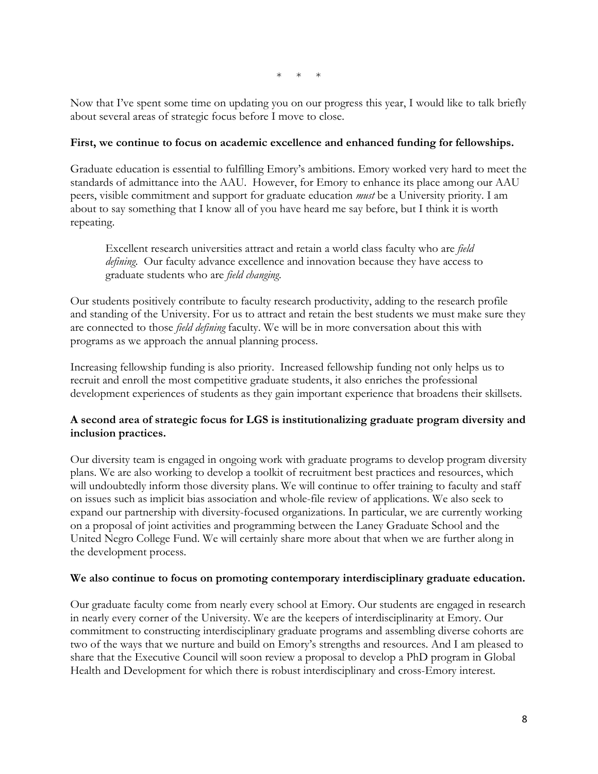$*$  \*

Now that I've spent some time on updating you on our progress this year, I would like to talk briefly about several areas of strategic focus before I move to close.

## **First, we continue to focus on academic excellence and enhanced funding for fellowships.**

Graduate education is essential to fulfilling Emory's ambitions. Emory worked very hard to meet the standards of admittance into the AAU. However, for Emory to enhance its place among our AAU peers, visible commitment and support for graduate education *must* be a University priority. I am about to say something that I know all of you have heard me say before, but I think it is worth repeating.

Excellent research universities attract and retain a world class faculty who are *field defining*. Our faculty advance excellence and innovation because they have access to graduate students who are *field changing*.

Our students positively contribute to faculty research productivity, adding to the research profile and standing of the University. For us to attract and retain the best students we must make sure they are connected to those *field defining* faculty. We will be in more conversation about this with programs as we approach the annual planning process.

Increasing fellowship funding is also priority. Increased fellowship funding not only helps us to recruit and enroll the most competitive graduate students, it also enriches the professional development experiences of students as they gain important experience that broadens their skillsets.

# **A second area of strategic focus for LGS is institutionalizing graduate program diversity and inclusion practices.**

Our diversity team is engaged in ongoing work with graduate programs to develop program diversity plans. We are also working to develop a toolkit of recruitment best practices and resources, which will undoubtedly inform those diversity plans. We will continue to offer training to faculty and staff on issues such as implicit bias association and whole-file review of applications. We also seek to expand our partnership with diversity-focused organizations. In particular, we are currently working on a proposal of joint activities and programming between the Laney Graduate School and the United Negro College Fund. We will certainly share more about that when we are further along in the development process.

#### **We also continue to focus on promoting contemporary interdisciplinary graduate education.**

Our graduate faculty come from nearly every school at Emory. Our students are engaged in research in nearly every corner of the University. We are the keepers of interdisciplinarity at Emory. Our commitment to constructing interdisciplinary graduate programs and assembling diverse cohorts are two of the ways that we nurture and build on Emory's strengths and resources. And I am pleased to share that the Executive Council will soon review a proposal to develop a PhD program in Global Health and Development for which there is robust interdisciplinary and cross-Emory interest.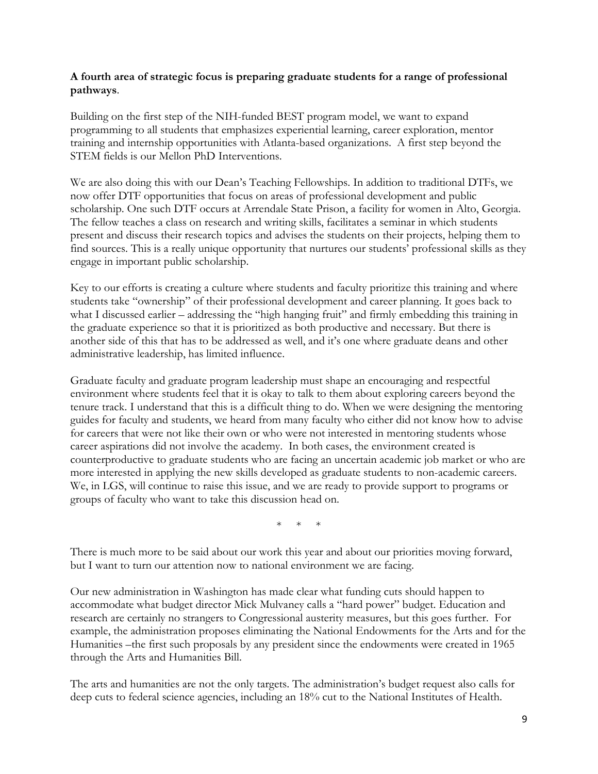## **A fourth area of strategic focus is preparing graduate students for a range of professional pathways**.

Building on the first step of the NIH-funded BEST program model, we want to expand programming to all students that emphasizes experiential learning, career exploration, mentor training and internship opportunities with Atlanta-based organizations. A first step beyond the STEM fields is our Mellon PhD Interventions.

We are also doing this with our Dean's Teaching Fellowships. In addition to traditional DTFs, we now offer DTF opportunities that focus on areas of professional development and public scholarship. One such DTF occurs at Arrendale State Prison, a facility for women in Alto, Georgia. The fellow teaches a class on research and writing skills, facilitates a seminar in which students present and discuss their research topics and advises the students on their projects, helping them to find sources. This is a really unique opportunity that nurtures our students' professional skills as they engage in important public scholarship.

Key to our efforts is creating a culture where students and faculty prioritize this training and where students take "ownership" of their professional development and career planning. It goes back to what I discussed earlier – addressing the "high hanging fruit" and firmly embedding this training in the graduate experience so that it is prioritized as both productive and necessary. But there is another side of this that has to be addressed as well, and it's one where graduate deans and other administrative leadership, has limited influence.

Graduate faculty and graduate program leadership must shape an encouraging and respectful environment where students feel that it is okay to talk to them about exploring careers beyond the tenure track. I understand that this is a difficult thing to do. When we were designing the mentoring guides for faculty and students, we heard from many faculty who either did not know how to advise for careers that were not like their own or who were not interested in mentoring students whose career aspirations did not involve the academy. In both cases, the environment created is counterproductive to graduate students who are facing an uncertain academic job market or who are more interested in applying the new skills developed as graduate students to non-academic careers. We, in LGS, will continue to raise this issue, and we are ready to provide support to programs or groups of faculty who want to take this discussion head on.

 $*$  \*

There is much more to be said about our work this year and about our priorities moving forward, but I want to turn our attention now to national environment we are facing.

Our new administration in Washington has made clear what funding cuts should happen to accommodate what budget director Mick Mulvaney calls a "hard power" budget. Education and research are certainly no strangers to Congressional austerity measures, but this goes further. For example, the administration proposes eliminating the National Endowments for the Arts and for the Humanities –the first such proposals by any president since the endowments were created in 1965 through the Arts and Humanities Bill.

The arts and humanities are not the only targets. The administration's budget request also calls for deep cuts to federal science agencies, including an 18% cut to the National Institutes of Health.